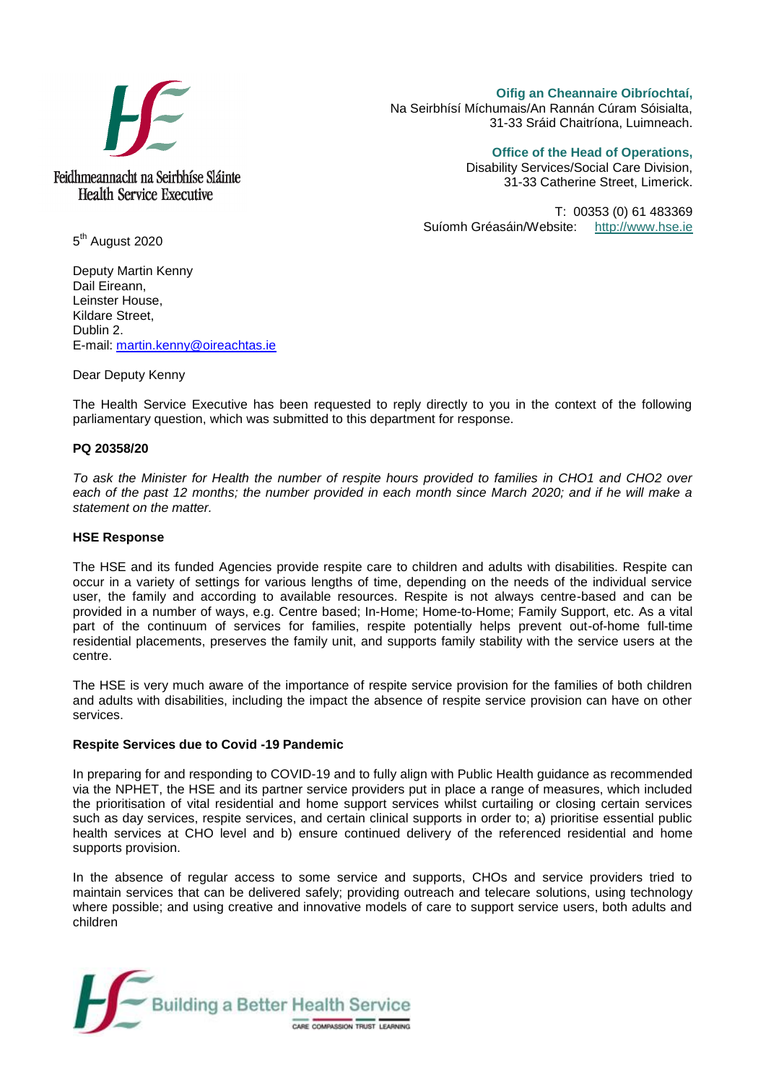

**Oifig an Cheannaire Oibríochtaí,**  Na Seirbhísí Míchumais/An Rannán Cúram Sóisialta, 31-33 Sráid Chaitríona, Luimneach.

**Office of the Head of Operations,** 

Disability Services/Social Care Division, 31-33 Catherine Street, Limerick.

T: 00353 (0) 61 483369 Suíomh Gréasáin/Website: [http://www.hse.ie](http://www.hse.ie/)

5<sup>th</sup> August 2020

Deputy Martin Kenny Dail Eireann, Leinster House, Kildare Street, Dublin 2. E-mail: [martin.kenny@oireachtas.ie](mailto:martin.kenny@oireachtas.ie)

Dear Deputy Kenny

The Health Service Executive has been requested to reply directly to you in the context of the following parliamentary question, which was submitted to this department for response.

## **PQ 20358/20**

*To ask the Minister for Health the number of respite hours provided to families in CHO1 and CHO2 over*  each of the past 12 months; the number provided in each month since March 2020; and if he will make a *statement on the matter.*

## **HSE Response**

The HSE and its funded Agencies provide respite care to children and adults with disabilities. Respite can occur in a variety of settings for various lengths of time, depending on the needs of the individual service user, the family and according to available resources. Respite is not always centre-based and can be provided in a number of ways, e.g. Centre based; In-Home; Home-to-Home; Family Support, etc. As a vital part of the continuum of services for families, respite potentially helps prevent out-of-home full-time residential placements, preserves the family unit, and supports family stability with the service users at the centre.

The HSE is very much aware of the importance of respite service provision for the families of both children and adults with disabilities, including the impact the absence of respite service provision can have on other services.

## **Respite Services due to Covid -19 Pandemic**

In preparing for and responding to COVID-19 and to fully align with Public Health guidance as recommended via the NPHET, the HSE and its partner service providers put in place a range of measures, which included the prioritisation of vital residential and home support services whilst curtailing or closing certain services such as day services, respite services, and certain clinical supports in order to; a) prioritise essential public health services at CHO level and b) ensure continued delivery of the referenced residential and home supports provision.

In the absence of regular access to some service and supports, CHOs and service providers tried to maintain services that can be delivered safely; providing outreach and telecare solutions, using technology where possible; and using creative and innovative models of care to support service users, both adults and children

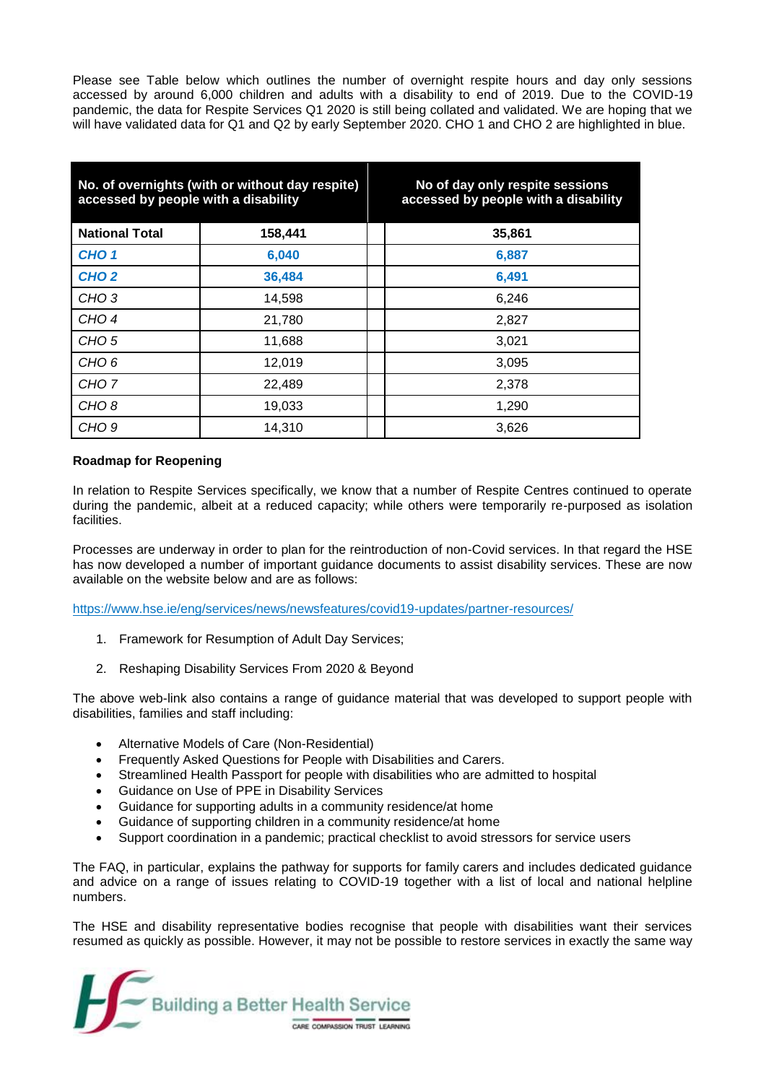Please see Table below which outlines the number of overnight respite hours and day only sessions accessed by around 6,000 children and adults with a disability to end of 2019. Due to the COVID-19 pandemic, the data for Respite Services Q1 2020 is still being collated and validated. We are hoping that we will have validated data for Q1 and Q2 by early September 2020. CHO 1 and CHO 2 are highlighted in blue.

| No. of overnights (with or without day respite)<br>accessed by people with a disability |         | No of day only respite sessions<br>accessed by people with a disability |
|-----------------------------------------------------------------------------------------|---------|-------------------------------------------------------------------------|
| <b>National Total</b>                                                                   | 158,441 | 35,861                                                                  |
| CHO <sub>1</sub>                                                                        | 6,040   | 6,887                                                                   |
| CHO <sub>2</sub>                                                                        | 36,484  | 6,491                                                                   |
| CHO <sub>3</sub>                                                                        | 14,598  | 6,246                                                                   |
| CHO <sub>4</sub>                                                                        | 21,780  | 2,827                                                                   |
| CHO <sub>5</sub>                                                                        | 11,688  | 3,021                                                                   |
| CHO <sub>6</sub>                                                                        | 12,019  | 3,095                                                                   |
| CHO <sub>7</sub>                                                                        | 22,489  | 2,378                                                                   |
| CHO <sub>8</sub>                                                                        | 19,033  | 1,290                                                                   |
| CHO <sub>9</sub>                                                                        | 14,310  | 3,626                                                                   |

## **Roadmap for Reopening**

In relation to Respite Services specifically, we know that a number of Respite Centres continued to operate during the pandemic, albeit at a reduced capacity; while others were temporarily re-purposed as isolation facilities.

Processes are underway in order to plan for the reintroduction of non-Covid services. In that regard the HSE has now developed a number of important guidance documents to assist disability services. These are now available on the website below and are as follows:

<https://www.hse.ie/eng/services/news/newsfeatures/covid19-updates/partner-resources/>

- 1. Framework for Resumption of Adult Day Services;
- 2. Reshaping Disability Services From 2020 & Beyond

The above web-link also contains a range of guidance material that was developed to support people with disabilities, families and staff including:

- Alternative Models of Care (Non-Residential)
- Frequently Asked Questions for People with Disabilities and Carers.
- Streamlined Health Passport for people with disabilities who are admitted to hospital
- Guidance on Use of PPE in Disability Services
- Guidance for supporting adults in a community residence/at home
- Guidance of supporting children in a community residence/at home
- Support coordination in a pandemic; practical checklist to avoid stressors for service users

The FAQ, in particular, explains the pathway for supports for family carers and includes dedicated guidance and advice on a range of issues relating to COVID-19 together with a list of local and national helpline numbers.

The HSE and disability representative bodies recognise that people with disabilities want their services resumed as quickly as possible. However, it may not be possible to restore services in exactly the same way